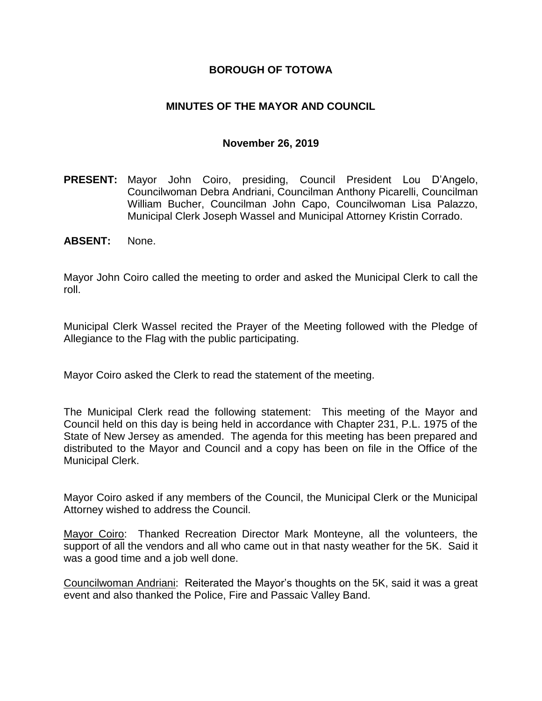### **BOROUGH OF TOTOWA**

### **MINUTES OF THE MAYOR AND COUNCIL**

#### **November 26, 2019**

- **PRESENT:** Mayor John Coiro, presiding, Council President Lou D'Angelo, Councilwoman Debra Andriani, Councilman Anthony Picarelli, Councilman William Bucher, Councilman John Capo, Councilwoman Lisa Palazzo, Municipal Clerk Joseph Wassel and Municipal Attorney Kristin Corrado.
- **ABSENT:** None.

Mayor John Coiro called the meeting to order and asked the Municipal Clerk to call the roll.

Municipal Clerk Wassel recited the Prayer of the Meeting followed with the Pledge of Allegiance to the Flag with the public participating.

Mayor Coiro asked the Clerk to read the statement of the meeting.

The Municipal Clerk read the following statement: This meeting of the Mayor and Council held on this day is being held in accordance with Chapter 231, P.L. 1975 of the State of New Jersey as amended. The agenda for this meeting has been prepared and distributed to the Mayor and Council and a copy has been on file in the Office of the Municipal Clerk.

Mayor Coiro asked if any members of the Council, the Municipal Clerk or the Municipal Attorney wished to address the Council.

Mayor Coiro: Thanked Recreation Director Mark Monteyne, all the volunteers, the support of all the vendors and all who came out in that nasty weather for the 5K. Said it was a good time and a job well done.

Councilwoman Andriani: Reiterated the Mayor's thoughts on the 5K, said it was a great event and also thanked the Police, Fire and Passaic Valley Band.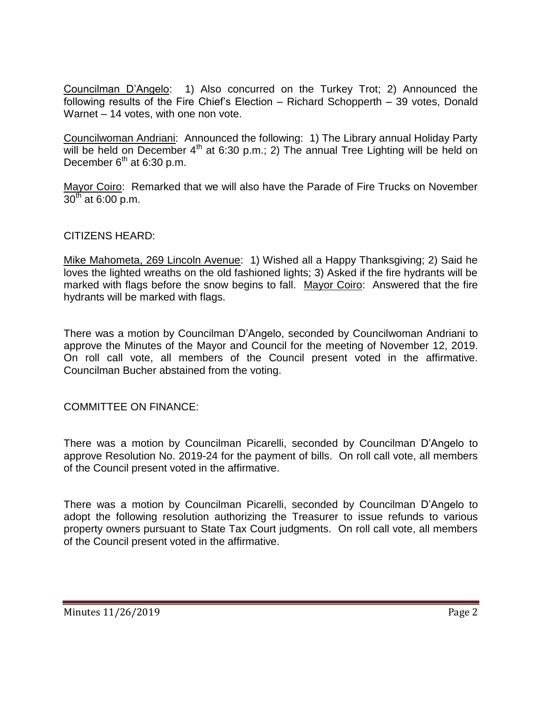Councilman D'Angelo: 1) Also concurred on the Turkey Trot; 2) Announced the following results of the Fire Chief's Election – Richard Schopperth – 39 votes, Donald Warnet – 14 votes, with one non vote.

Councilwoman Andriani: Announced the following: 1) The Library annual Holiday Party will be held on December  $4<sup>th</sup>$  at 6:30 p.m.; 2) The annual Tree Lighting will be held on December  $6<sup>th</sup>$  at 6:30 p.m.

Mayor Coiro: Remarked that we will also have the Parade of Fire Trucks on November  $30^{th}$  at 6:00 p.m.

### CITIZENS HEARD:

Mike Mahometa, 269 Lincoln Avenue: 1) Wished all a Happy Thanksgiving; 2) Said he loves the lighted wreaths on the old fashioned lights; 3) Asked if the fire hydrants will be marked with flags before the snow begins to fall. Mayor Coiro: Answered that the fire hydrants will be marked with flags.

There was a motion by Councilman D'Angelo, seconded by Councilwoman Andriani to approve the Minutes of the Mayor and Council for the meeting of November 12, 2019. On roll call vote, all members of the Council present voted in the affirmative. Councilman Bucher abstained from the voting.

COMMITTEE ON FINANCE:

There was a motion by Councilman Picarelli, seconded by Councilman D'Angelo to approve Resolution No. 2019-24 for the payment of bills. On roll call vote, all members of the Council present voted in the affirmative.

There was a motion by Councilman Picarelli, seconded by Councilman D'Angelo to adopt the following resolution authorizing the Treasurer to issue refunds to various property owners pursuant to State Tax Court judgments. On roll call vote, all members of the Council present voted in the affirmative.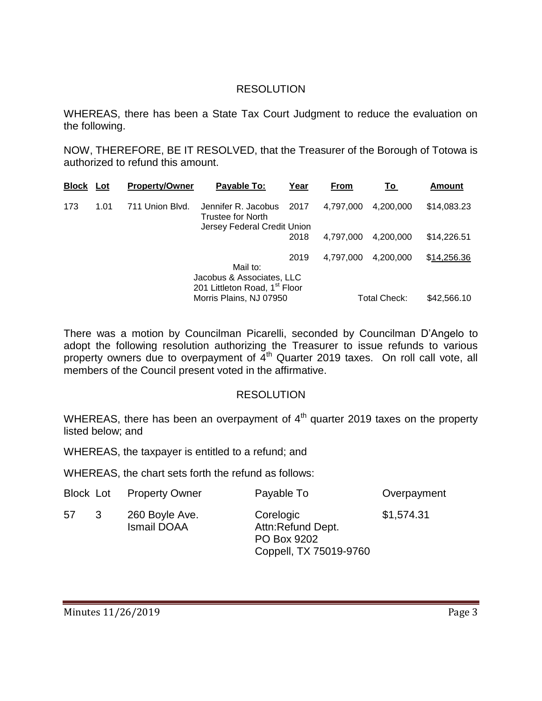### RESOLUTION

WHEREAS, there has been a State Tax Court Judgment to reduce the evaluation on the following.

NOW, THEREFORE, BE IT RESOLVED, that the Treasurer of the Borough of Totowa is authorized to refund this amount.

| <b>Block</b> | Lot  | <b>Property/Owner</b> | Payable To:                                                            | Year | From      | Τo           | <b>Amount</b> |
|--------------|------|-----------------------|------------------------------------------------------------------------|------|-----------|--------------|---------------|
| 173          | 1.01 | 711 Union Blvd.       | Jennifer R. Jacobus<br>Trustee for North                               | 2017 | 4,797,000 | 4,200,000    | \$14,083.23   |
|              |      |                       | Jersey Federal Credit Union                                            |      |           |              |               |
|              |      |                       |                                                                        | 2018 | 4.797.000 | 4.200.000    | \$14,226.51   |
|              |      |                       |                                                                        | 2019 | 4,797,000 | 4,200,000    | \$14,256.36   |
|              |      |                       | Mail to:                                                               |      |           |              |               |
|              |      |                       | Jacobus & Associates, LLC<br>201 Littleton Road, 1 <sup>st</sup> Floor |      |           |              |               |
|              |      |                       | Morris Plains, NJ 07950                                                |      |           | Total Check: | \$42,566.10   |

There was a motion by Councilman Picarelli, seconded by Councilman D'Angelo to adopt the following resolution authorizing the Treasurer to issue refunds to various property owners due to overpayment of  $\vec{4}^{\text{th}}$  Quarter 2019 taxes. On roll call vote, all members of the Council present voted in the affirmative.

#### RESOLUTION

WHEREAS, there has been an overpayment of  $4<sup>th</sup>$  quarter 2019 taxes on the property listed below; and

WHEREAS, the taxpayer is entitled to a refund; and

WHEREAS, the chart sets forth the refund as follows:

|    |   | <b>Block Lot</b> Property Owner      | Payable To                                                              | Overpayment |
|----|---|--------------------------------------|-------------------------------------------------------------------------|-------------|
| 57 | 3 | 260 Boyle Ave.<br><b>Ismail DOAA</b> | Corelogic<br>Attn:Refund Dept.<br>PO Box 9202<br>Coppell, TX 75019-9760 | \$1,574.31  |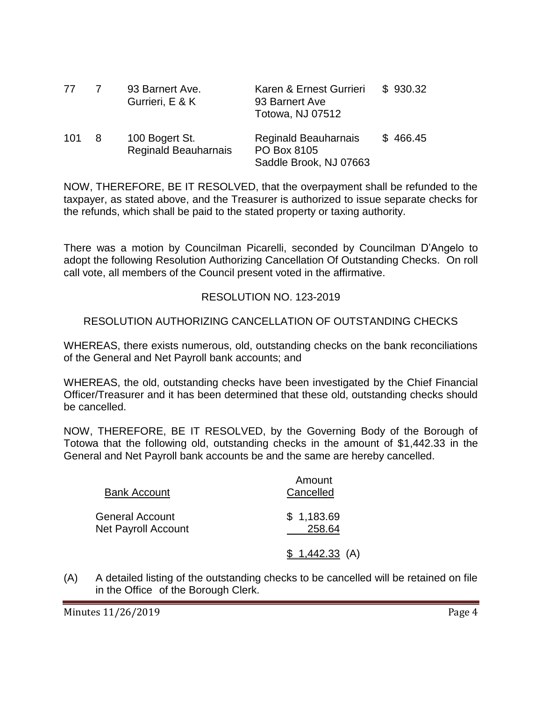| 77  |     | 93 Barnert Ave.<br>Gurrieri, E & K            | Karen & Ernest Gurrieri<br>93 Barnert Ave<br>Totowa, NJ 07512 | \$930.32 |
|-----|-----|-----------------------------------------------|---------------------------------------------------------------|----------|
| 101 | - 8 | 100 Bogert St.<br><b>Reginald Beauharnais</b> | Reginald Beauharnais<br>PO Box 8105<br>Saddle Brook, NJ 07663 | \$466.45 |

NOW, THEREFORE, BE IT RESOLVED, that the overpayment shall be refunded to the taxpayer, as stated above, and the Treasurer is authorized to issue separate checks for the refunds, which shall be paid to the stated property or taxing authority.

There was a motion by Councilman Picarelli, seconded by Councilman D'Angelo to adopt the following Resolution Authorizing Cancellation Of Outstanding Checks. On roll call vote, all members of the Council present voted in the affirmative.

### RESOLUTION NO. 123-2019

### RESOLUTION AUTHORIZING CANCELLATION OF OUTSTANDING CHECKS

WHEREAS, there exists numerous, old, outstanding checks on the bank reconciliations of the General and Net Payroll bank accounts; and

WHEREAS, the old, outstanding checks have been investigated by the Chief Financial Officer/Treasurer and it has been determined that these old, outstanding checks should be cancelled.

NOW, THEREFORE, BE IT RESOLVED, by the Governing Body of the Borough of Totowa that the following old, outstanding checks in the amount of \$1,442.33 in the General and Net Payroll bank accounts be and the same are hereby cancelled.

| <b>Bank Account</b>                           | Amount<br>Cancelled  |  |  |
|-----------------------------------------------|----------------------|--|--|
| General Account<br><b>Net Payroll Account</b> | \$1,183.69<br>258.64 |  |  |
|                                               | $$1,442.33$ (A)      |  |  |

(A) A detailed listing of the outstanding checks to be cancelled will be retained on file in the Office of the Borough Clerk.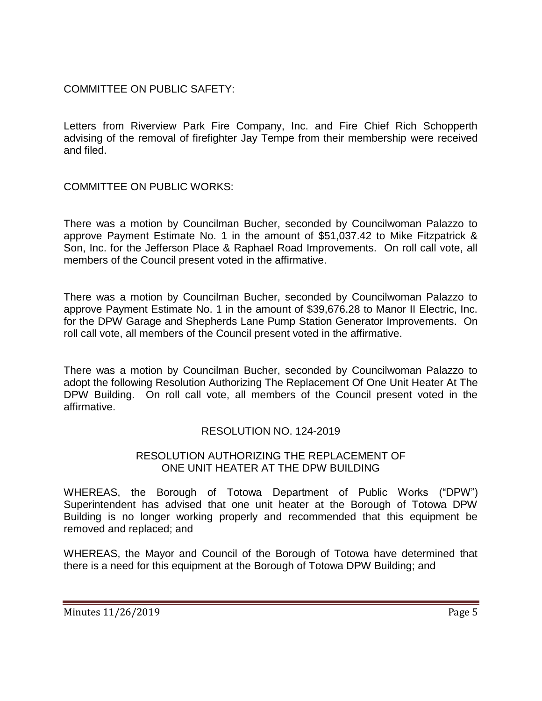### COMMITTEE ON PUBLIC SAFETY:

Letters from Riverview Park Fire Company, Inc. and Fire Chief Rich Schopperth advising of the removal of firefighter Jay Tempe from their membership were received and filed.

## COMMITTEE ON PUBLIC WORKS:

There was a motion by Councilman Bucher, seconded by Councilwoman Palazzo to approve Payment Estimate No. 1 in the amount of \$51,037.42 to Mike Fitzpatrick & Son, Inc. for the Jefferson Place & Raphael Road Improvements. On roll call vote, all members of the Council present voted in the affirmative.

There was a motion by Councilman Bucher, seconded by Councilwoman Palazzo to approve Payment Estimate No. 1 in the amount of \$39,676.28 to Manor II Electric, Inc. for the DPW Garage and Shepherds Lane Pump Station Generator Improvements. On roll call vote, all members of the Council present voted in the affirmative.

There was a motion by Councilman Bucher, seconded by Councilwoman Palazzo to adopt the following Resolution Authorizing The Replacement Of One Unit Heater At The DPW Building. On roll call vote, all members of the Council present voted in the affirmative.

### RESOLUTION NO. 124-2019

### RESOLUTION AUTHORIZING THE REPLACEMENT OF ONE UNIT HEATER AT THE DPW BUILDING

WHEREAS, the Borough of Totowa Department of Public Works ("DPW") Superintendent has advised that one unit heater at the Borough of Totowa DPW Building is no longer working properly and recommended that this equipment be removed and replaced; and

WHEREAS, the Mayor and Council of the Borough of Totowa have determined that there is a need for this equipment at the Borough of Totowa DPW Building; and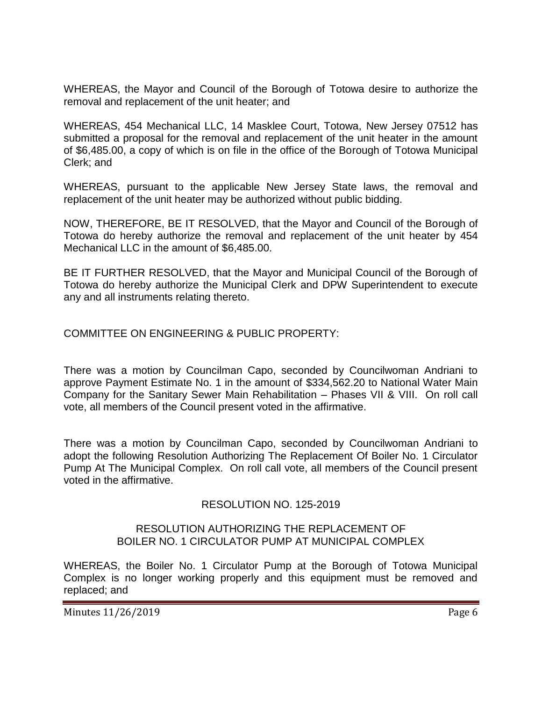WHEREAS, the Mayor and Council of the Borough of Totowa desire to authorize the removal and replacement of the unit heater; and

WHEREAS, 454 Mechanical LLC, 14 Masklee Court, Totowa, New Jersey 07512 has submitted a proposal for the removal and replacement of the unit heater in the amount of \$6,485.00, a copy of which is on file in the office of the Borough of Totowa Municipal Clerk; and

WHEREAS, pursuant to the applicable New Jersey State laws, the removal and replacement of the unit heater may be authorized without public bidding.

NOW, THEREFORE, BE IT RESOLVED, that the Mayor and Council of the Borough of Totowa do hereby authorize the removal and replacement of the unit heater by 454 Mechanical LLC in the amount of \$6,485.00.

BE IT FURTHER RESOLVED, that the Mayor and Municipal Council of the Borough of Totowa do hereby authorize the Municipal Clerk and DPW Superintendent to execute any and all instruments relating thereto.

COMMITTEE ON ENGINEERING & PUBLIC PROPERTY:

There was a motion by Councilman Capo, seconded by Councilwoman Andriani to approve Payment Estimate No. 1 in the amount of \$334,562.20 to National Water Main Company for the Sanitary Sewer Main Rehabilitation – Phases VII & VIII. On roll call vote, all members of the Council present voted in the affirmative.

There was a motion by Councilman Capo, seconded by Councilwoman Andriani to adopt the following Resolution Authorizing The Replacement Of Boiler No. 1 Circulator Pump At The Municipal Complex. On roll call vote, all members of the Council present voted in the affirmative.

### RESOLUTION NO. 125-2019

#### RESOLUTION AUTHORIZING THE REPLACEMENT OF BOILER NO. 1 CIRCULATOR PUMP AT MUNICIPAL COMPLEX

WHEREAS, the Boiler No. 1 Circulator Pump at the Borough of Totowa Municipal Complex is no longer working properly and this equipment must be removed and replaced; and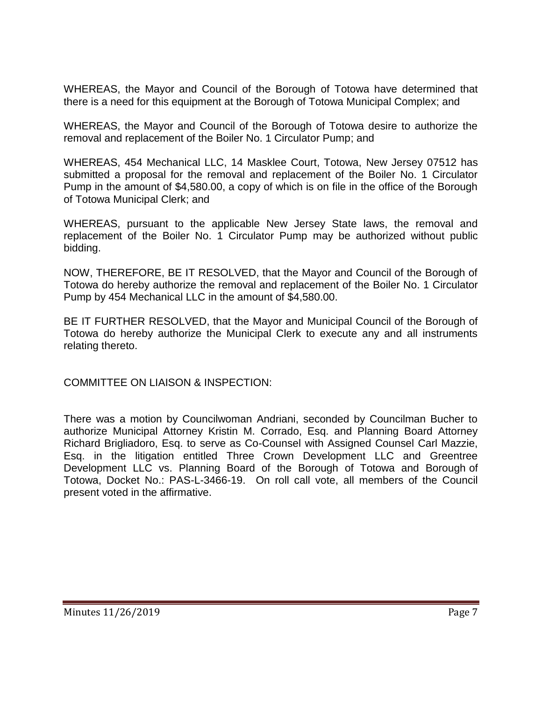WHEREAS, the Mayor and Council of the Borough of Totowa have determined that there is a need for this equipment at the Borough of Totowa Municipal Complex; and

WHEREAS, the Mayor and Council of the Borough of Totowa desire to authorize the removal and replacement of the Boiler No. 1 Circulator Pump; and

WHEREAS, 454 Mechanical LLC, 14 Masklee Court, Totowa, New Jersey 07512 has submitted a proposal for the removal and replacement of the Boiler No. 1 Circulator Pump in the amount of \$4,580.00, a copy of which is on file in the office of the Borough of Totowa Municipal Clerk; and

WHEREAS, pursuant to the applicable New Jersey State laws, the removal and replacement of the Boiler No. 1 Circulator Pump may be authorized without public bidding.

NOW, THEREFORE, BE IT RESOLVED, that the Mayor and Council of the Borough of Totowa do hereby authorize the removal and replacement of the Boiler No. 1 Circulator Pump by 454 Mechanical LLC in the amount of \$4,580.00.

BE IT FURTHER RESOLVED, that the Mayor and Municipal Council of the Borough of Totowa do hereby authorize the Municipal Clerk to execute any and all instruments relating thereto.

COMMITTEE ON LIAISON & INSPECTION:

There was a motion by Councilwoman Andriani, seconded by Councilman Bucher to authorize Municipal Attorney Kristin M. Corrado, Esq. and Planning Board Attorney Richard Brigliadoro, Esq. to serve as Co-Counsel with Assigned Counsel Carl Mazzie, Esq. in the litigation entitled Three Crown Development LLC and Greentree Development LLC vs. Planning Board of the Borough of Totowa and Borough of Totowa, Docket No.: PAS-L-3466-19. On roll call vote, all members of the Council present voted in the affirmative.